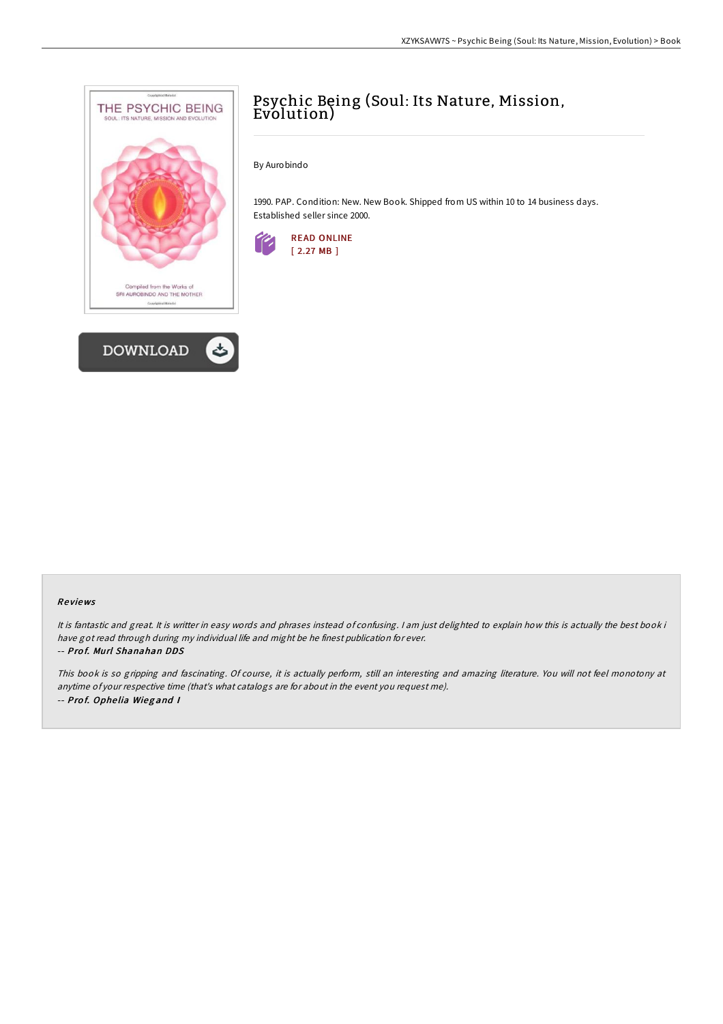



# Psychic Being (Soul: Its Nature, Mission, Evolution)

By Aurobindo

1990. PAP. Condition: New. New Book. Shipped from US within 10 to 14 business days. Established seller since 2000.



#### Re views

It is fantastic and great. It is writter in easy words and phrases instead of confusing. <sup>I</sup> am just delighted to explain how this is actually the best book i have got read through during my individual life and might be he finest publication for ever. -- Pro f. Murl Shanahan DDS

This book is so gripping and fascinating. Of course, it is actually perform, still an interesting and amazing literature. You will not feel monotony at anytime of your respective time (that's what catalogs are for about in the event you request me). -- Pro f. Ophe lia Wieg and <sup>I</sup>